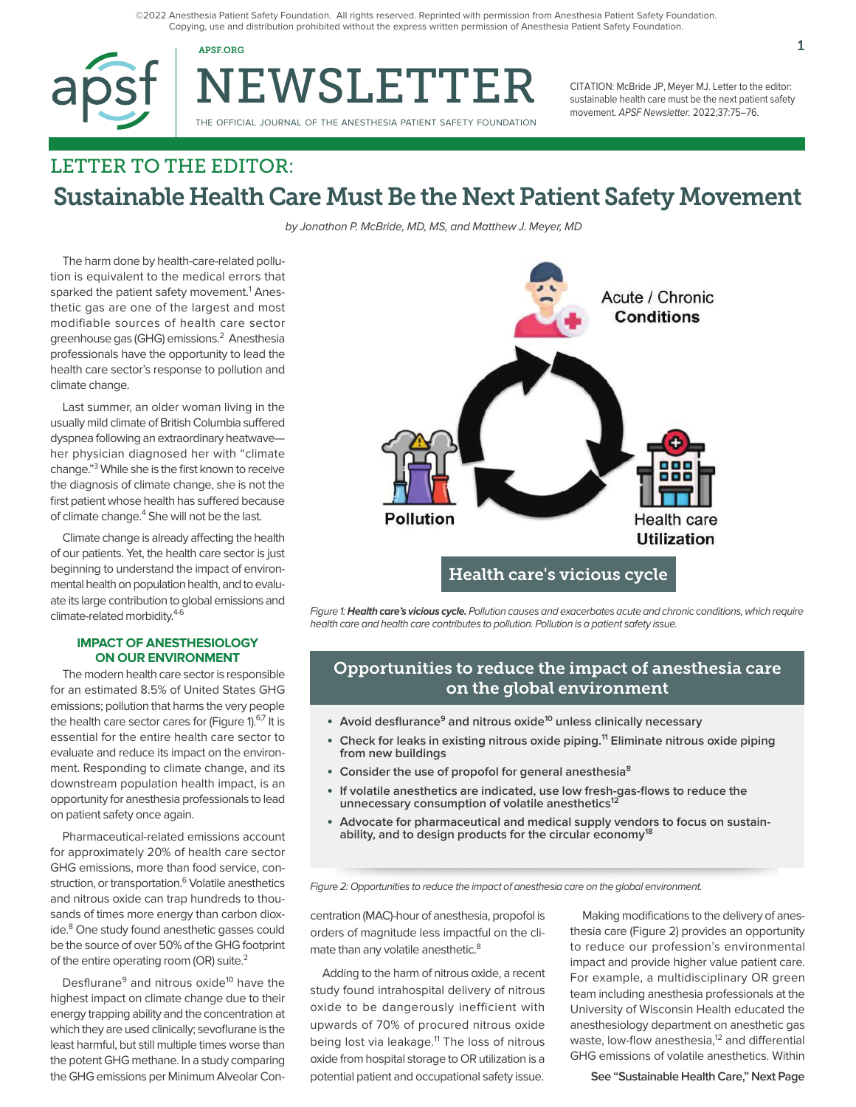©2022 Anesthesia Patient Safety Foundation. All rights reserved. Reprinted with permission from Anesthesia Patient Safety Foundation. Copying, use and distribution prohibited without the express written permission of Anesthesia Patient Safety Foundation.



NEWSLETTER

THE OFFICIAL JOURNAL OF THE ANESTHESIA PATIENT SAFETY FOUNDATION

CITATION: McBride JP, Meyer MJ. Letter to the editor: sustainable health care must be the next patient safety movement. APSF Newsletter. 2022;37:75–76.

# LETTER TO THE EDITOR: Sustainable Health Care Must Be the Next Patient Safety Movement

by Jonathon P. McBride, MD, MS, and Matthew J. Meyer, MD

The harm done by health-care-related pollution is equivalent to the medical errors that sparked the patient safety movement.<sup>1</sup> Anesthetic gas are one of the largest and most modifiable sources of health care sector greenhouse gas (GHG) emissions.<sup>2</sup> Anesthesia professionals have the opportunity to lead the health care sector's response to pollution and climate change.

Last summer, an older woman living in the usually mild climate of British Columbia suffered dyspnea following an extraordinary heatwave her physician diagnosed her with "climate change."3 While she is the first known to receive the diagnosis of climate change, she is not the first patient whose health has suffered because of climate change.<sup>4</sup> She will not be the last.

Climate change is already affecting the health of our patients. Yet, the health care sector is just beginning to understand the impact of environmental health on population health, and to evaluate its large contribution to global emissions and climate-related morbidity.<sup>4-6</sup>

#### **IMPACT OF ANESTHESIOLOGY ON OUR ENVIRONMENT**

The modern health care sector is responsible for an estimated 8.5% of United States GHG emissions; pollution that harms the very people the health care sector cares for (Figure 1).<sup>6,7</sup> It is essential for the entire health care sector to evaluate and reduce its impact on the environment. Responding to climate change, and its downstream population health impact, is an opportunity for anesthesia professionals to lead on patient safety once again.

Pharmaceutical-related emissions account for approximately 20% of health care sector GHG emissions, more than food service, construction, or transportation.<sup>6</sup> Volatile anesthetics and nitrous oxide can trap hundreds to thousands of times more energy than carbon dioxide.<sup>8</sup> One study found anesthetic gasses could be the source of over 50% of the GHG footprint of the entire operating room (OR) suite.<sup>2</sup>

Desflurane<sup>9</sup> and nitrous oxide<sup>10</sup> have the highest impact on climate change due to their energy trapping ability and the concentration at which they are used clinically; sevoflurane is the least harmful, but still multiple times worse than the potent GHG methane. In a study comparing the GHG emissions per Minimum Alveolar Con-



Figure 1: **Health care's vicious cycle.** Pollution causes and exacerbates acute and chronic conditions, which require health care and health care contributes to pollution. Pollution is a patient safety issue.

### Opportunities to reduce the impact of anesthesia care on the global environment

- **Avoid desflurance<sup>9</sup> and nitrous oxide<sup>10</sup> unless clinically necessary**
- **Check for leaks in existing nitrous oxide piping.<sup>11</sup> Eliminate nitrous oxide piping from new buildings**
- **Consider the use of propofol for general anesthesia8**
- **If volatile anesthetics are indicated, use low fresh-gas-flows to reduce the unnecessary consumption of volatile anesthetics12**
- **Advocate for pharmaceutical and medical supply vendors to focus on sustainability, and to design products for the circular economy18**

Figure 2: Opportunities to reduce the impact of anesthesia care on the global environment.

centration (MAC)-hour of anesthesia, propofol is orders of magnitude less impactful on the climate than any volatile anesthetic.<sup>8</sup>

Adding to the harm of nitrous oxide, a recent study found intrahospital delivery of nitrous oxide to be dangerously inefficient with upwards of 70% of procured nitrous oxide being lost via leakage.<sup>11</sup> The loss of nitrous oxide from hospital storage to OR utilization is a potential patient and occupational safety issue.

Making modifications to the delivery of anesthesia care (Figure 2) provides an opportunity to reduce our profession's environmental impact and provide higher value patient care. For example, a multidisciplinary OR green team including anesthesia professionals at the University of Wisconsin Health educated the anesthesiology department on anesthetic gas waste, low-flow anesthesia,<sup>12</sup> and differential GHG emissions of volatile anesthetics. Within